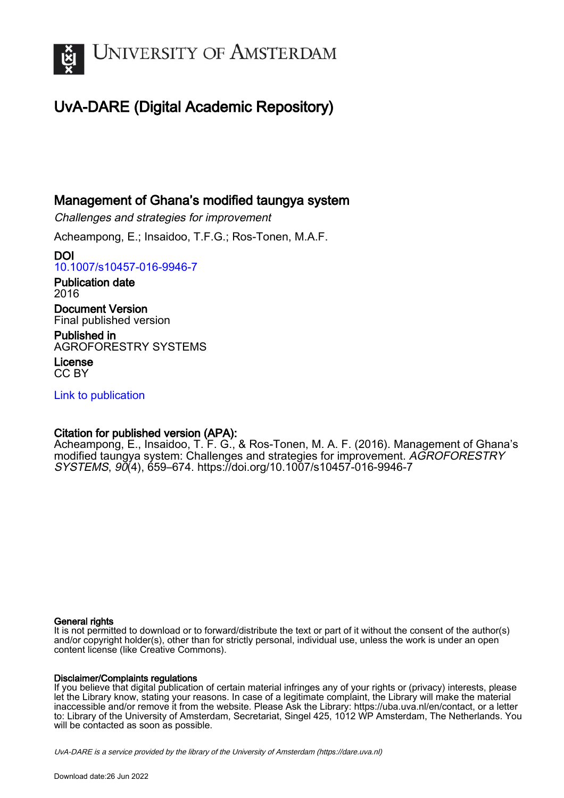

# UvA-DARE (Digital Academic Repository)

## Management of Ghana's modified taungya system

Challenges and strategies for improvement

Acheampong, E.; Insaidoo, T.F.G.; Ros-Tonen, M.A.F.

DOI [10.1007/s10457-016-9946-7](https://doi.org/10.1007/s10457-016-9946-7)

Publication date 2016

Document Version Final published version

Published in AGROFORESTRY SYSTEMS

License CC BY

[Link to publication](https://dare.uva.nl/personal/pure/en/publications/management-of-ghanas-modified-taungya-system(d0e45240-6f7b-4ebd-8fca-158e0df11329).html)

## Citation for published version (APA):

Acheampong, E., Insaidoo, T. F. G., & Ros-Tonen, M. A. F. (2016). Management of Ghana's modified taungya system: Challenges and strategies for improvement. AGROFORESTRY SYSTEMS, 90(4), 659–674.<https://doi.org/10.1007/s10457-016-9946-7>

## General rights

It is not permitted to download or to forward/distribute the text or part of it without the consent of the author(s) and/or copyright holder(s), other than for strictly personal, individual use, unless the work is under an open content license (like Creative Commons).

## Disclaimer/Complaints regulations

If you believe that digital publication of certain material infringes any of your rights or (privacy) interests, please let the Library know, stating your reasons. In case of a legitimate complaint, the Library will make the material inaccessible and/or remove it from the website. Please Ask the Library: https://uba.uva.nl/en/contact, or a letter to: Library of the University of Amsterdam, Secretariat, Singel 425, 1012 WP Amsterdam, The Netherlands. You will be contacted as soon as possible.

UvA-DARE is a service provided by the library of the University of Amsterdam (http*s*://dare.uva.nl)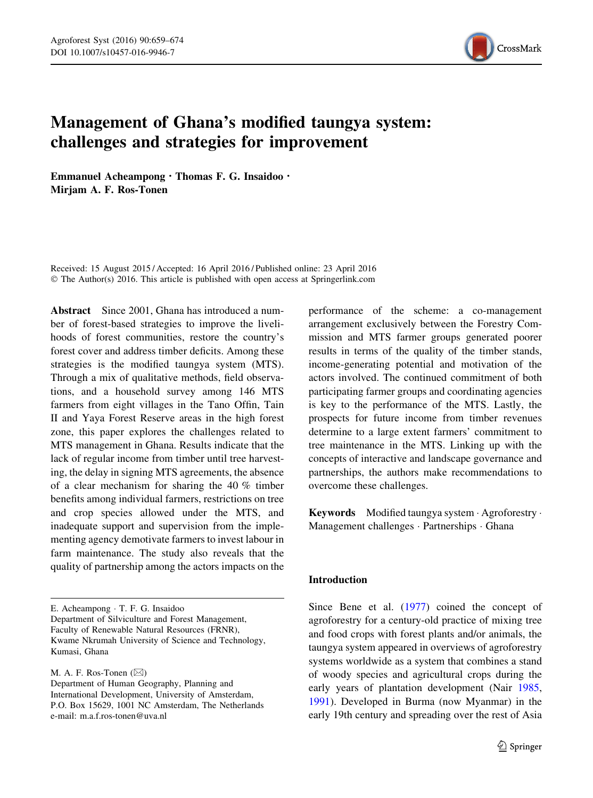

# Management of Ghana's modified taungya system: challenges and strategies for improvement

Emmanuel Acheampong · Thomas F. G. Insaidoo · Mirjam A. F. Ros-Tonen

Received: 15 August 2015 / Accepted: 16 April 2016 / Published online: 23 April 2016 © The Author(s) 2016. This article is published with open access at Springerlink.com

Abstract Since 2001, Ghana has introduced a number of forest-based strategies to improve the livelihoods of forest communities, restore the country's forest cover and address timber deficits. Among these strategies is the modified taungya system (MTS). Through a mix of qualitative methods, field observations, and a household survey among 146 MTS farmers from eight villages in the Tano Offin, Tain II and Yaya Forest Reserve areas in the high forest zone, this paper explores the challenges related to MTS management in Ghana. Results indicate that the lack of regular income from timber until tree harvesting, the delay in signing MTS agreements, the absence of a clear mechanism for sharing the 40 % timber benefits among individual farmers, restrictions on tree and crop species allowed under the MTS, and inadequate support and supervision from the implementing agency demotivate farmers to invest labour in farm maintenance. The study also reveals that the quality of partnership among the actors impacts on the

E. Acheampong - T. F. G. Insaidoo Department of Silviculture and Forest Management, Faculty of Renewable Natural Resources (FRNR), Kwame Nkrumah University of Science and Technology, Kumasi, Ghana

M. A. F. Ros-Tonen  $(\boxtimes)$ Department of Human Geography, Planning and International Development, University of Amsterdam, P.O. Box 15629, 1001 NC Amsterdam, The Netherlands e-mail: m.a.f.ros-tonen@uva.nl

performance of the scheme: a co-management arrangement exclusively between the Forestry Commission and MTS farmer groups generated poorer results in terms of the quality of the timber stands, income-generating potential and motivation of the actors involved. The continued commitment of both participating farmer groups and coordinating agencies is key to the performance of the MTS. Lastly, the prospects for future income from timber revenues determine to a large extent farmers' commitment to tree maintenance in the MTS. Linking up with the concepts of interactive and landscape governance and partnerships, the authors make recommendations to overcome these challenges.

Keywords Modified taungya system · Agroforestry · Management challenges · Partnerships · Ghana

#### Introduction

Since Bene et al. [\(1977](#page-15-0)) coined the concept of agroforestry for a century-old practice of mixing tree and food crops with forest plants and/or animals, the taungya system appeared in overviews of agroforestry systems worldwide as a system that combines a stand of woody species and agricultural crops during the early years of plantation development (Nair [1985,](#page-15-0) [1991\)](#page-15-0). Developed in Burma (now Myanmar) in the early 19th century and spreading over the rest of Asia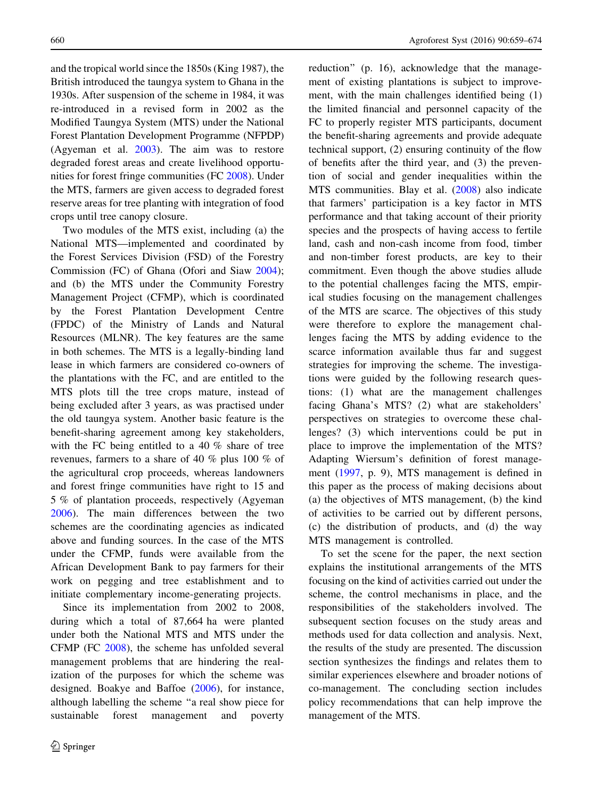and the tropical world since the 1850s (King 1987), the British introduced the taungya system to Ghana in the 1930s. After suspension of the scheme in 1984, it was re-introduced in a revised form in 2002 as the Modified Taungya System (MTS) under the National Forest Plantation Development Programme (NFPDP) (Agyeman et al. [2003](#page-15-0)). The aim was to restore degraded forest areas and create livelihood opportunities for forest fringe communities (FC [2008\)](#page-15-0). Under the MTS, farmers are given access to degraded forest reserve areas for tree planting with integration of food crops until tree canopy closure.

Two modules of the MTS exist, including (a) the National MTS—implemented and coordinated by the Forest Services Division (FSD) of the Forestry Commission (FC) of Ghana (Ofori and Siaw [2004](#page-16-0)); and (b) the MTS under the Community Forestry Management Project (CFMP), which is coordinated by the Forest Plantation Development Centre (FPDC) of the Ministry of Lands and Natural Resources (MLNR). The key features are the same in both schemes. The MTS is a legally-binding land lease in which farmers are considered co-owners of the plantations with the FC, and are entitled to the MTS plots till the tree crops mature, instead of being excluded after 3 years, as was practised under the old taungya system. Another basic feature is the benefit-sharing agreement among key stakeholders, with the FC being entitled to a 40 % share of tree revenues, farmers to a share of 40 % plus 100 % of the agricultural crop proceeds, whereas landowners and forest fringe communities have right to 15 and 5 % of plantation proceeds, respectively (Agyeman [2006\)](#page-15-0). The main differences between the two schemes are the coordinating agencies as indicated above and funding sources. In the case of the MTS under the CFMP, funds were available from the African Development Bank to pay farmers for their work on pegging and tree establishment and to initiate complementary income-generating projects.

Since its implementation from 2002 to 2008, during which a total of 87,664 ha were planted under both the National MTS and MTS under the CFMP (FC [2008\)](#page-15-0), the scheme has unfolded several management problems that are hindering the realization of the purposes for which the scheme was designed. Boakye and Baffoe ([2006\)](#page-15-0), for instance, although labelling the scheme ''a real show piece for sustainable forest management and poverty reduction'' (p. 16), acknowledge that the management of existing plantations is subject to improvement, with the main challenges identified being (1) the limited financial and personnel capacity of the FC to properly register MTS participants, document the benefit-sharing agreements and provide adequate technical support, (2) ensuring continuity of the flow of benefits after the third year, and (3) the prevention of social and gender inequalities within the MTS communities. Blay et al. [\(2008](#page-15-0)) also indicate that farmers' participation is a key factor in MTS performance and that taking account of their priority species and the prospects of having access to fertile land, cash and non-cash income from food, timber and non-timber forest products, are key to their commitment. Even though the above studies allude to the potential challenges facing the MTS, empirical studies focusing on the management challenges of the MTS are scarce. The objectives of this study were therefore to explore the management challenges facing the MTS by adding evidence to the scarce information available thus far and suggest strategies for improving the scheme. The investigations were guided by the following research questions: (1) what are the management challenges facing Ghana's MTS? (2) what are stakeholders' perspectives on strategies to overcome these challenges? (3) which interventions could be put in place to improve the implementation of the MTS? Adapting Wiersum's definition of forest management ([1997,](#page-16-0) p. 9), MTS management is defined in this paper as the process of making decisions about (a) the objectives of MTS management, (b) the kind of activities to be carried out by different persons, (c) the distribution of products, and (d) the way MTS management is controlled.

To set the scene for the paper, the next section explains the institutional arrangements of the MTS focusing on the kind of activities carried out under the scheme, the control mechanisms in place, and the responsibilities of the stakeholders involved. The subsequent section focuses on the study areas and methods used for data collection and analysis. Next, the results of the study are presented. The discussion section synthesizes the findings and relates them to similar experiences elsewhere and broader notions of co-management. The concluding section includes policy recommendations that can help improve the management of the MTS.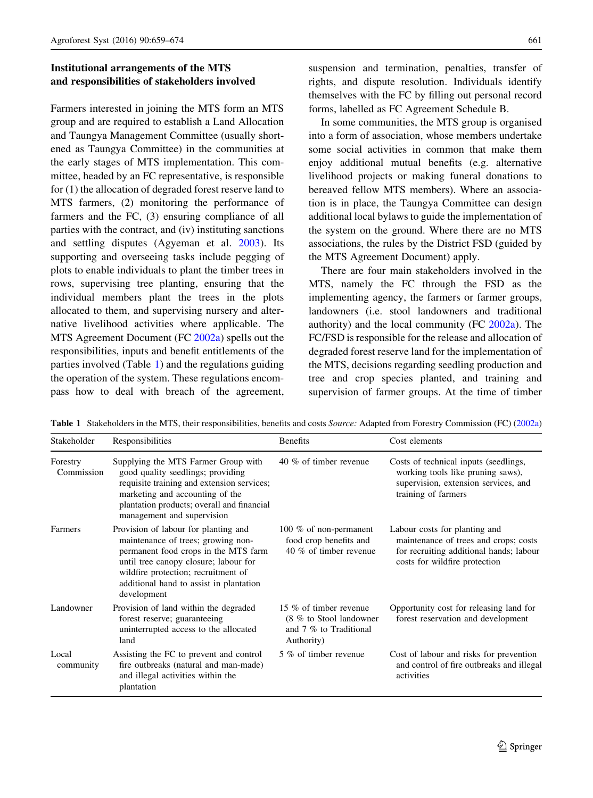### <span id="page-3-0"></span>Institutional arrangements of the MTS and responsibilities of stakeholders involved

Farmers interested in joining the MTS form an MTS group and are required to establish a Land Allocation and Taungya Management Committee (usually shortened as Taungya Committee) in the communities at the early stages of MTS implementation. This committee, headed by an FC representative, is responsible for (1) the allocation of degraded forest reserve land to MTS farmers, (2) monitoring the performance of farmers and the FC, (3) ensuring compliance of all parties with the contract, and (iv) instituting sanctions and settling disputes (Agyeman et al. [2003](#page-15-0)). Its supporting and overseeing tasks include pegging of plots to enable individuals to plant the timber trees in rows, supervising tree planting, ensuring that the individual members plant the trees in the plots allocated to them, and supervising nursery and alternative livelihood activities where applicable. The MTS Agreement Document (FC [2002a](#page-15-0)) spells out the responsibilities, inputs and benefit entitlements of the parties involved (Table 1) and the regulations guiding the operation of the system. These regulations encompass how to deal with breach of the agreement, suspension and termination, penalties, transfer of rights, and dispute resolution. Individuals identify themselves with the FC by filling out personal record forms, labelled as FC Agreement Schedule B.

In some communities, the MTS group is organised into a form of association, whose members undertake some social activities in common that make them enjoy additional mutual benefits (e.g. alternative livelihood projects or making funeral donations to bereaved fellow MTS members). Where an association is in place, the Taungya Committee can design additional local bylaws to guide the implementation of the system on the ground. Where there are no MTS associations, the rules by the District FSD (guided by the MTS Agreement Document) apply.

There are four main stakeholders involved in the MTS, namely the FC through the FSD as the implementing agency, the farmers or farmer groups, landowners (i.e. stool landowners and traditional authority) and the local community (FC [2002a\)](#page-15-0). The FC/FSD is responsible for the release and allocation of degraded forest reserve land for the implementation of the MTS, decisions regarding seedling production and tree and crop species planted, and training and supervision of farmer groups. At the time of timber

Table 1 Stakeholders in the MTS, their responsibilities, benefits and costs Source: Adapted from Forestry Commission (FC) ([2002a](#page-15-0))

| Stakeholder            | Responsibilities                                                                                                                                                                                                                                             | <b>Benefits</b>                                                                              | Cost elements                                                                                                                                      |
|------------------------|--------------------------------------------------------------------------------------------------------------------------------------------------------------------------------------------------------------------------------------------------------------|----------------------------------------------------------------------------------------------|----------------------------------------------------------------------------------------------------------------------------------------------------|
| Forestry<br>Commission | Supplying the MTS Farmer Group with<br>good quality seedlings; providing<br>requisite training and extension services;<br>marketing and accounting of the<br>plantation products; overall and financial<br>management and supervision                        | 40 % of timber revenue                                                                       | Costs of technical inputs (seedlings,<br>working tools like pruning saws),<br>supervision, extension services, and<br>training of farmers          |
| Farmers                | Provision of labour for planting and<br>maintenance of trees; growing non-<br>permanent food crops in the MTS farm<br>until tree canopy closure; labour for<br>wildfire protection; recruitment of<br>additional hand to assist in plantation<br>development | 100 % of non-permanent<br>food crop benefits and<br>40 % of timber revenue                   | Labour costs for planting and<br>maintenance of trees and crops; costs<br>for recruiting additional hands; labour<br>costs for wildfire protection |
| Landowner              | Provision of land within the degraded<br>forest reserve; guaranteeing<br>uninterrupted access to the allocated<br>land                                                                                                                                       | 15 % of timber revenue<br>$(8 \%$ to Stool landowner<br>and 7 % to Traditional<br>Authority) | Opportunity cost for releasing land for<br>forest reservation and development                                                                      |
| Local<br>community     | Assisting the FC to prevent and control<br>fire outbreaks (natural and man-made)<br>and illegal activities within the<br>plantation                                                                                                                          | 5 % of timber revenue                                                                        | Cost of labour and risks for prevention<br>and control of fire outbreaks and illegal<br>activities                                                 |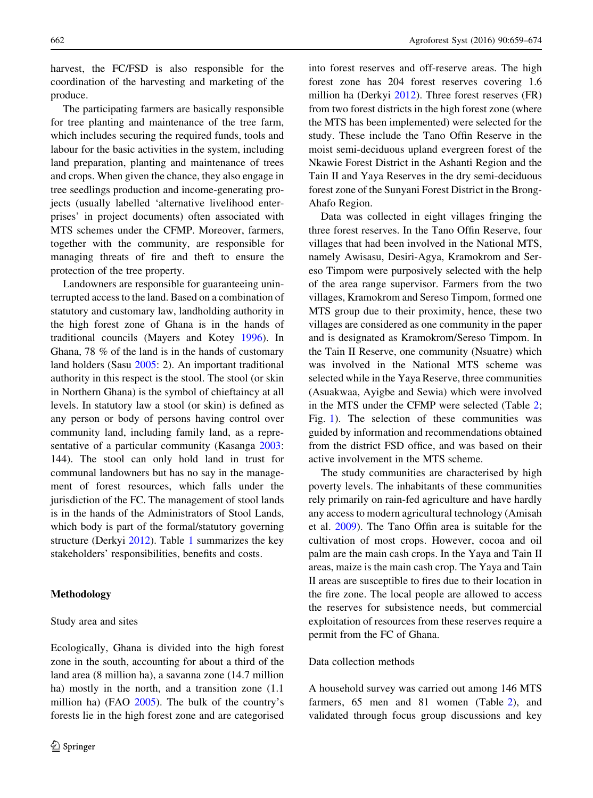harvest, the FC/FSD is also responsible for the coordination of the harvesting and marketing of the produce.

The participating farmers are basically responsible for tree planting and maintenance of the tree farm, which includes securing the required funds, tools and labour for the basic activities in the system, including land preparation, planting and maintenance of trees and crops. When given the chance, they also engage in tree seedlings production and income-generating projects (usually labelled 'alternative livelihood enterprises' in project documents) often associated with MTS schemes under the CFMP. Moreover, farmers, together with the community, are responsible for managing threats of fire and theft to ensure the protection of the tree property.

Landowners are responsible for guaranteeing uninterrupted access to the land. Based on a combination of statutory and customary law, landholding authority in the high forest zone of Ghana is in the hands of traditional councils (Mayers and Kotey [1996](#page-15-0)). In Ghana, 78 % of the land is in the hands of customary land holders (Sasu [2005](#page-16-0): 2). An important traditional authority in this respect is the stool. The stool (or skin in Northern Ghana) is the symbol of chieftaincy at all levels. In statutory law a stool (or skin) is defined as any person or body of persons having control over community land, including family land, as a representative of a particular community (Kasanga [2003](#page-15-0): 144). The stool can only hold land in trust for communal landowners but has no say in the management of forest resources, which falls under the jurisdiction of the FC. The management of stool lands is in the hands of the Administrators of Stool Lands, which body is part of the formal/statutory governing structure (Derkyi [2012\)](#page-15-0). Table [1](#page-3-0) summarizes the key stakeholders' responsibilities, benefits and costs.

#### Methodology

#### Study area and sites

Ecologically, Ghana is divided into the high forest zone in the south, accounting for about a third of the land area (8 million ha), a savanna zone (14.7 million ha) mostly in the north, and a transition zone (1.1 million ha) (FAO [2005](#page-15-0)). The bulk of the country's forests lie in the high forest zone and are categorised into forest reserves and off-reserve areas. The high forest zone has 204 forest reserves covering 1.6 million ha (Derkyi [2012\)](#page-15-0). Three forest reserves (FR) from two forest districts in the high forest zone (where the MTS has been implemented) were selected for the study. These include the Tano Offin Reserve in the moist semi-deciduous upland evergreen forest of the Nkawie Forest District in the Ashanti Region and the Tain II and Yaya Reserves in the dry semi-deciduous forest zone of the Sunyani Forest District in the Brong-Ahafo Region.

Data was collected in eight villages fringing the three forest reserves. In the Tano Offin Reserve, four villages that had been involved in the National MTS, namely Awisasu, Desiri-Agya, Kramokrom and Sereso Timpom were purposively selected with the help of the area range supervisor. Farmers from the two villages, Kramokrom and Sereso Timpom, formed one MTS group due to their proximity, hence, these two villages are considered as one community in the paper and is designated as Kramokrom/Sereso Timpom. In the Tain II Reserve, one community (Nsuatre) which was involved in the National MTS scheme was selected while in the Yaya Reserve, three communities (Asuakwaa, Ayigbe and Sewia) which were involved in the MTS under the CFMP were selected (Table [2](#page-5-0); Fig. [1\)](#page-5-0). The selection of these communities was guided by information and recommendations obtained from the district FSD office, and was based on their active involvement in the MTS scheme.

The study communities are characterised by high poverty levels. The inhabitants of these communities rely primarily on rain-fed agriculture and have hardly any access to modern agricultural technology (Amisah et al. [2009](#page-15-0)). The Tano Offin area is suitable for the cultivation of most crops. However, cocoa and oil palm are the main cash crops. In the Yaya and Tain II areas, maize is the main cash crop. The Yaya and Tain II areas are susceptible to fires due to their location in the fire zone. The local people are allowed to access the reserves for subsistence needs, but commercial exploitation of resources from these reserves require a permit from the FC of Ghana.

#### Data collection methods

A household survey was carried out among 146 MTS farmers, 65 men and 81 women (Table [2](#page-5-0)), and validated through focus group discussions and key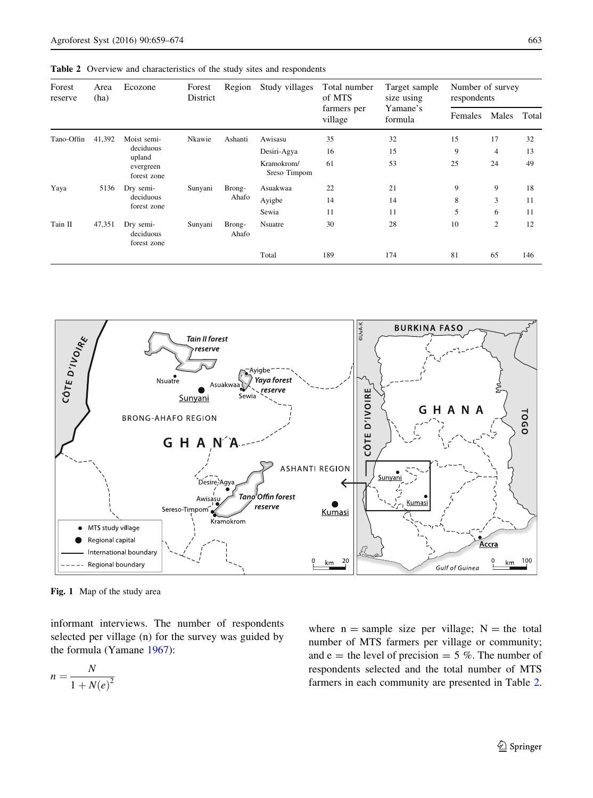<span id="page-5-0"></span>Table 2 Overview and characteristics of the study sites and respondents

| Forest<br>reserve | Area<br>(ha) | Ecozone                                                        | Forest<br>District | Region          | Study villages             | Total number<br>of MTS | Target sample<br>size using | Number of survey<br>respondents |       |       |  |
|-------------------|--------------|----------------------------------------------------------------|--------------------|-----------------|----------------------------|------------------------|-----------------------------|---------------------------------|-------|-------|--|
|                   |              |                                                                |                    |                 |                            | farmers per<br>village | Yamane's<br>formula         | Females                         | Males | Total |  |
| Tano-Offin        | 41,392       | Moist semi-<br>deciduous<br>upland<br>evergreen<br>forest zone | Nkawie             | Ashanti         | Awisasu                    | 35                     | 32                          | 15                              | 17    | 32    |  |
|                   |              |                                                                |                    |                 | Desiri-Agya                | 16                     | 15                          | 9                               | 4     | 13    |  |
|                   |              |                                                                |                    |                 | Kramokrom/<br>Sreso Timpom | 61                     | 53                          | 25                              | 24    | 49    |  |
| Yaya              | 5136         | Dry semi-<br>deciduous                                         | Sunyani            | Brong-<br>Ahafo | Asuakwaa                   | 22                     | 21                          | 9                               | 9     | 18    |  |
|                   |              |                                                                |                    |                 | Ayigbe                     | 14                     | 14                          | 8                               | 3     | 11    |  |
|                   |              | forest zone                                                    |                    |                 | Sewia                      | 11                     | 11                          | 5                               | 6     | 11    |  |
| Tain II           | 47,351       | Dry semi-<br>deciduous<br>forest zone                          | Sunyani            | Brong-<br>Ahafo | <b>N</b> suatre            | 30                     | 28                          | 10                              | 2     | 12    |  |
|                   |              |                                                                |                    |                 | Total                      | 189                    | 174                         | 81                              | 65    | 146   |  |



Fig. 1 Map of the study area

informant interviews. The number of respondents selected per village (n) for the survey was guided by the formula (Yamane [1967\)](#page-16-0):

$$
n = \frac{N}{1 + N(e)^2}
$$

where  $n =$  sample size per village;  $N =$  the total number of MTS farmers per village or community; and  $e =$  the level of precision = 5 %. The number of respondents selected and the total number of MTS farmers in each community are presented in Table 2.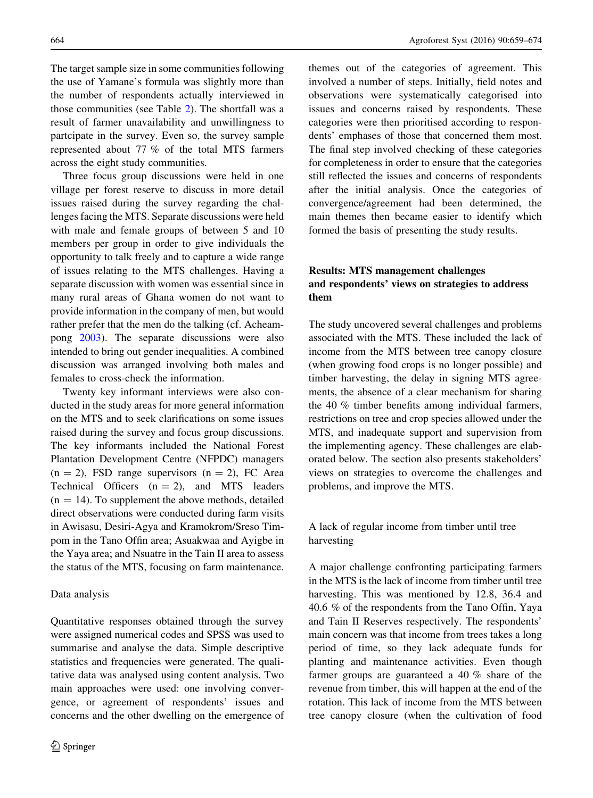The target sample size in some communities following the use of Yamane's formula was slightly more than the number of respondents actually interviewed in those communities (see Table [2\)](#page-5-0). The shortfall was a result of farmer unavailability and unwillingness to partcipate in the survey. Even so, the survey sample represented about 77 % of the total MTS farmers across the eight study communities.

Three focus group discussions were held in one village per forest reserve to discuss in more detail issues raised during the survey regarding the challenges facing the MTS. Separate discussions were held with male and female groups of between 5 and 10 members per group in order to give individuals the opportunity to talk freely and to capture a wide range of issues relating to the MTS challenges. Having a separate discussion with women was essential since in many rural areas of Ghana women do not want to provide information in the company of men, but would rather prefer that the men do the talking (cf. Acheampong [2003](#page-15-0)). The separate discussions were also intended to bring out gender inequalities. A combined discussion was arranged involving both males and females to cross-check the information.

Twenty key informant interviews were also conducted in the study areas for more general information on the MTS and to seek clarifications on some issues raised during the survey and focus group discussions. The key informants included the National Forest Plantation Development Centre (NFPDC) managers  $(n = 2)$ , FSD range supervisors  $(n = 2)$ , FC Area Technical Officers  $(n = 2)$ , and MTS leaders  $(n = 14)$ . To supplement the above methods, detailed direct observations were conducted during farm visits in Awisasu, Desiri-Agya and Kramokrom/Sreso Timpom in the Tano Offin area; Asuakwaa and Ayigbe in the Yaya area; and Nsuatre in the Tain II area to assess the status of the MTS, focusing on farm maintenance.

#### Data analysis

Quantitative responses obtained through the survey were assigned numerical codes and SPSS was used to summarise and analyse the data. Simple descriptive statistics and frequencies were generated. The qualitative data was analysed using content analysis. Two main approaches were used: one involving convergence, or agreement of respondents' issues and concerns and the other dwelling on the emergence of themes out of the categories of agreement. This involved a number of steps. Initially, field notes and observations were systematically categorised into issues and concerns raised by respondents. These categories were then prioritised according to respondents' emphases of those that concerned them most. The final step involved checking of these categories for completeness in order to ensure that the categories still reflected the issues and concerns of respondents after the initial analysis. Once the categories of convergence/agreement had been determined, the main themes then became easier to identify which formed the basis of presenting the study results.

## Results: MTS management challenges and respondents' views on strategies to address them

The study uncovered several challenges and problems associated with the MTS. These included the lack of income from the MTS between tree canopy closure (when growing food crops is no longer possible) and timber harvesting, the delay in signing MTS agreements, the absence of a clear mechanism for sharing the 40 % timber benefits among individual farmers, restrictions on tree and crop species allowed under the MTS, and inadequate support and supervision from the implementing agency. These challenges are elaborated below. The section also presents stakeholders' views on strategies to overcome the challenges and problems, and improve the MTS.

#### A lack of regular income from timber until tree harvesting

A major challenge confronting participating farmers in the MTS is the lack of income from timber until tree harvesting. This was mentioned by 12.8, 36.4 and 40.6 % of the respondents from the Tano Offin, Yaya and Tain II Reserves respectively. The respondents' main concern was that income from trees takes a long period of time, so they lack adequate funds for planting and maintenance activities. Even though farmer groups are guaranteed a 40 % share of the revenue from timber, this will happen at the end of the rotation. This lack of income from the MTS between tree canopy closure (when the cultivation of food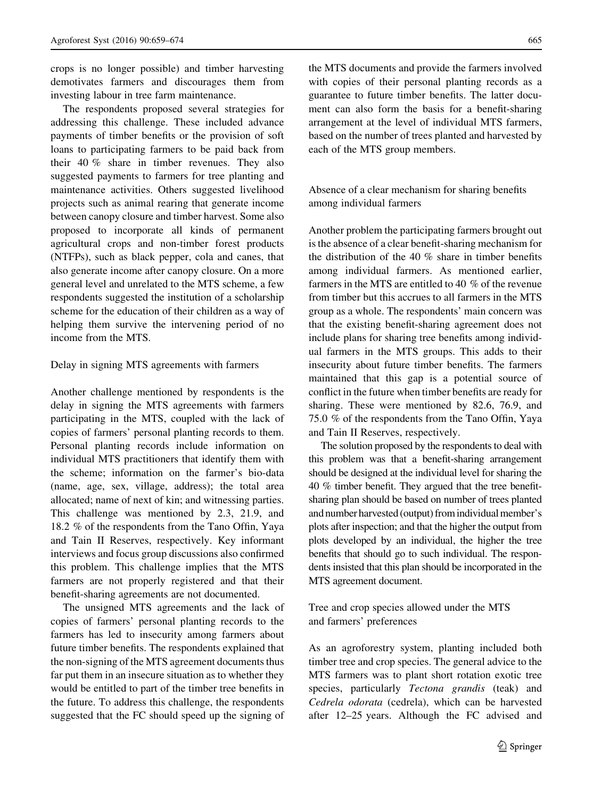crops is no longer possible) and timber harvesting demotivates farmers and discourages them from investing labour in tree farm maintenance.

The respondents proposed several strategies for addressing this challenge. These included advance payments of timber benefits or the provision of soft loans to participating farmers to be paid back from their 40 % share in timber revenues. They also suggested payments to farmers for tree planting and maintenance activities. Others suggested livelihood projects such as animal rearing that generate income between canopy closure and timber harvest. Some also proposed to incorporate all kinds of permanent agricultural crops and non-timber forest products (NTFPs), such as black pepper, cola and canes, that also generate income after canopy closure. On a more general level and unrelated to the MTS scheme, a few respondents suggested the institution of a scholarship scheme for the education of their children as a way of helping them survive the intervening period of no income from the MTS.

#### Delay in signing MTS agreements with farmers

Another challenge mentioned by respondents is the delay in signing the MTS agreements with farmers participating in the MTS, coupled with the lack of copies of farmers' personal planting records to them. Personal planting records include information on individual MTS practitioners that identify them with the scheme; information on the farmer's bio-data (name, age, sex, village, address); the total area allocated; name of next of kin; and witnessing parties. This challenge was mentioned by 2.3, 21.9, and 18.2 % of the respondents from the Tano Offin, Yaya and Tain II Reserves, respectively. Key informant interviews and focus group discussions also confirmed this problem. This challenge implies that the MTS farmers are not properly registered and that their benefit-sharing agreements are not documented.

The unsigned MTS agreements and the lack of copies of farmers' personal planting records to the farmers has led to insecurity among farmers about future timber benefits. The respondents explained that the non-signing of the MTS agreement documents thus far put them in an insecure situation as to whether they would be entitled to part of the timber tree benefits in the future. To address this challenge, the respondents suggested that the FC should speed up the signing of the MTS documents and provide the farmers involved with copies of their personal planting records as a guarantee to future timber benefits. The latter document can also form the basis for a benefit-sharing arrangement at the level of individual MTS farmers, based on the number of trees planted and harvested by each of the MTS group members.

Absence of a clear mechanism for sharing benefits among individual farmers

Another problem the participating farmers brought out is the absence of a clear benefit-sharing mechanism for the distribution of the 40 % share in timber benefits among individual farmers. As mentioned earlier, farmers in the MTS are entitled to 40 % of the revenue from timber but this accrues to all farmers in the MTS group as a whole. The respondents' main concern was that the existing benefit-sharing agreement does not include plans for sharing tree benefits among individual farmers in the MTS groups. This adds to their insecurity about future timber benefits. The farmers maintained that this gap is a potential source of conflict in the future when timber benefits are ready for sharing. These were mentioned by 82.6, 76.9, and 75.0 % of the respondents from the Tano Offin, Yaya and Tain II Reserves, respectively.

The solution proposed by the respondents to deal with this problem was that a benefit-sharing arrangement should be designed at the individual level for sharing the 40 % timber benefit. They argued that the tree benefitsharing plan should be based on number of trees planted and number harvested (output) from individual member's plots after inspection; and that the higher the output from plots developed by an individual, the higher the tree benefits that should go to such individual. The respondents insisted that this plan should be incorporated in the MTS agreement document.

Tree and crop species allowed under the MTS and farmers' preferences

As an agroforestry system, planting included both timber tree and crop species. The general advice to the MTS farmers was to plant short rotation exotic tree species, particularly Tectona grandis (teak) and Cedrela odorata (cedrela), which can be harvested after 12–25 years. Although the FC advised and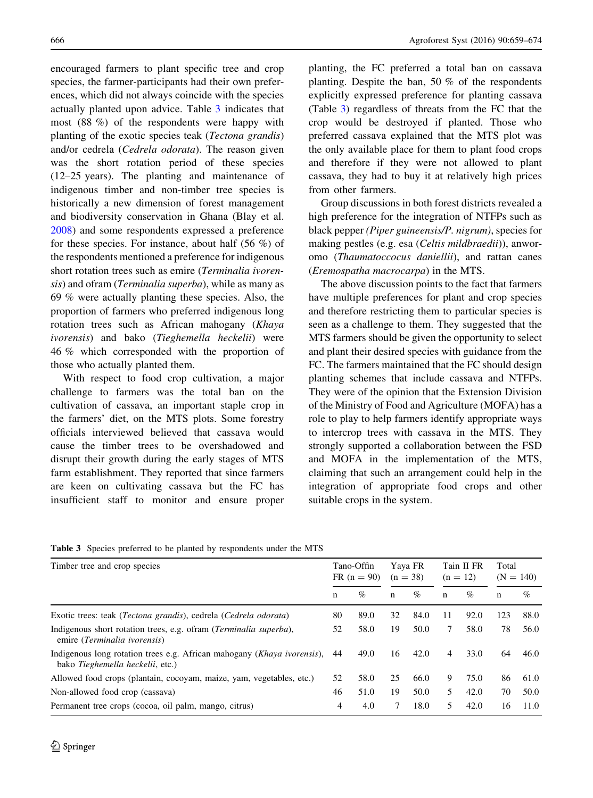encouraged farmers to plant specific tree and crop species, the farmer-participants had their own preferences, which did not always coincide with the species actually planted upon advice. Table 3 indicates that most (88 %) of the respondents were happy with planting of the exotic species teak (Tectona grandis) and/or cedrela (Cedrela odorata). The reason given was the short rotation period of these species (12–25 years). The planting and maintenance of indigenous timber and non-timber tree species is historically a new dimension of forest management and biodiversity conservation in Ghana (Blay et al. [2008\)](#page-15-0) and some respondents expressed a preference for these species. For instance, about half  $(56 \%)$  of the respondents mentioned a preference for indigenous short rotation trees such as emire (Terminalia ivorensis) and ofram (Terminalia superba), while as many as 69 % were actually planting these species. Also, the proportion of farmers who preferred indigenous long rotation trees such as African mahogany (Khaya ivorensis) and bako (Tieghemella heckelii) were 46 % which corresponded with the proportion of those who actually planted them.

With respect to food crop cultivation, a major challenge to farmers was the total ban on the cultivation of cassava, an important staple crop in the farmers' diet, on the MTS plots. Some forestry officials interviewed believed that cassava would cause the timber trees to be overshadowed and disrupt their growth during the early stages of MTS farm establishment. They reported that since farmers are keen on cultivating cassava but the FC has insufficient staff to monitor and ensure proper planting, the FC preferred a total ban on cassava planting. Despite the ban, 50 % of the respondents explicitly expressed preference for planting cassava (Table 3) regardless of threats from the FC that the crop would be destroyed if planted. Those who preferred cassava explained that the MTS plot was the only available place for them to plant food crops and therefore if they were not allowed to plant cassava, they had to buy it at relatively high prices from other farmers.

Group discussions in both forest districts revealed a high preference for the integration of NTFPs such as black pepper (Piper guineensis/P. nigrum), species for making pestles (e.g. esa (Celtis mildbraedii)), anworomo (Thaumatoccocus daniellii), and rattan canes (Eremospatha macrocarpa) in the MTS.

The above discussion points to the fact that farmers have multiple preferences for plant and crop species and therefore restricting them to particular species is seen as a challenge to them. They suggested that the MTS farmers should be given the opportunity to select and plant their desired species with guidance from the FC. The farmers maintained that the FC should design planting schemes that include cassava and NTFPs. They were of the opinion that the Extension Division of the Ministry of Food and Agriculture (MOFA) has a role to play to help farmers identify appropriate ways to intercrop trees with cassava in the MTS. They strongly supported a collaboration between the FSD and MOFA in the implementation of the MTS, claiming that such an arrangement could help in the integration of appropriate food crops and other suitable crops in the system.

|  |  |  |  |  |  | Table 3 Species preferred to be planted by respondents under the MTS |  |  |
|--|--|--|--|--|--|----------------------------------------------------------------------|--|--|
|--|--|--|--|--|--|----------------------------------------------------------------------|--|--|

| Timber tree and crop species                                                                                   |             | Tano-Offin<br>$FR (n = 90)$ |    | Yaya FR<br>$(n = 38)$ |    | Tain II FR<br>$(n = 12)$ |             | Total<br>$(N = 140)$ |  |
|----------------------------------------------------------------------------------------------------------------|-------------|-----------------------------|----|-----------------------|----|--------------------------|-------------|----------------------|--|
|                                                                                                                | $\mathbf n$ | $\%$                        | n  | $\%$                  | n  | $\%$                     | $\mathbf n$ | $\%$                 |  |
| Exotic trees: teak ( <i>Tectona grandis</i> ), cedrela ( <i>Cedrela odorata</i> )                              | 80          | 89.0                        | 32 | 84.0                  | 11 | 92.0                     | 123         | 88.0                 |  |
| Indigenous short rotation trees, e.g. ofram ( <i>Terminalia superba</i> ),<br>emire (Terminalia ivorensis)     | 52          | 58.0                        | 19 | 50.0                  | 7  | 58.0                     | 78          | 56.0                 |  |
| Indigenous long rotation trees e.g. African mahogany (Khaya ivorensis), 44<br>bako Tieghemella heckelii, etc.) |             | 49.0                        | 16 | 42.0                  | 4  | 33.0                     | 64          | 46.0                 |  |
| Allowed food crops (plantain, cocoyam, maize, yam, vegetables, etc.)                                           | 52          | 58.0                        | 25 | 66.0                  | 9  | 75.0                     | 86          | 61.0                 |  |
| Non-allowed food crop (cassava)                                                                                | 46          | 51.0                        | 19 | 50.0                  | 5  | 42.0                     | 70          | 50.0                 |  |
| Permanent tree crops (cocoa, oil palm, mango, citrus)                                                          | 4           | 4.0                         | 7  | 18.0                  | 5. | 42.0                     | 16          | 11.0                 |  |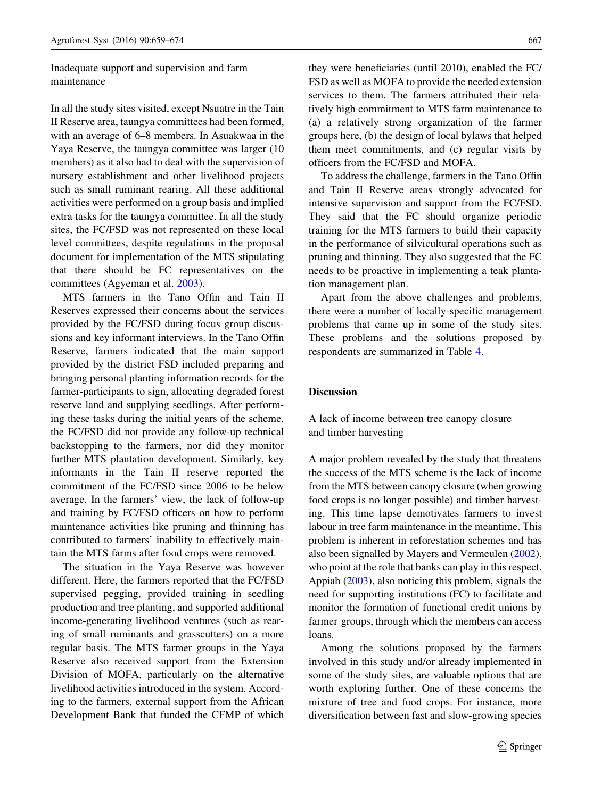Inadequate support and supervision and farm maintenance

In all the study sites visited, except Nsuatre in the Tain II Reserve area, taungya committees had been formed, with an average of 6–8 members. In Asuakwaa in the Yaya Reserve, the taungya committee was larger (10 members) as it also had to deal with the supervision of nursery establishment and other livelihood projects such as small ruminant rearing. All these additional activities were performed on a group basis and implied extra tasks for the taungya committee. In all the study sites, the FC/FSD was not represented on these local level committees, despite regulations in the proposal document for implementation of the MTS stipulating that there should be FC representatives on the committees (Agyeman et al. [2003](#page-15-0)).

MTS farmers in the Tano Offin and Tain II Reserves expressed their concerns about the services provided by the FC/FSD during focus group discussions and key informant interviews. In the Tano Offin Reserve, farmers indicated that the main support provided by the district FSD included preparing and bringing personal planting information records for the farmer-participants to sign, allocating degraded forest reserve land and supplying seedlings. After performing these tasks during the initial years of the scheme, the FC/FSD did not provide any follow-up technical backstopping to the farmers, nor did they monitor further MTS plantation development. Similarly, key informants in the Tain II reserve reported the commitment of the FC/FSD since 2006 to be below average. In the farmers' view, the lack of follow-up and training by FC/FSD officers on how to perform maintenance activities like pruning and thinning has contributed to farmers' inability to effectively maintain the MTS farms after food crops were removed.

The situation in the Yaya Reserve was however different. Here, the farmers reported that the FC/FSD supervised pegging, provided training in seedling production and tree planting, and supported additional income-generating livelihood ventures (such as rearing of small ruminants and grasscutters) on a more regular basis. The MTS farmer groups in the Yaya Reserve also received support from the Extension Division of MOFA, particularly on the alternative livelihood activities introduced in the system. According to the farmers, external support from the African Development Bank that funded the CFMP of which they were beneficiaries (until 2010), enabled the FC/ FSD as well as MOFA to provide the needed extension services to them. The farmers attributed their relatively high commitment to MTS farm maintenance to

(a) a relatively strong organization of the farmer groups here, (b) the design of local bylaws that helped them meet commitments, and (c) regular visits by officers from the FC/FSD and MOFA.

To address the challenge, farmers in the Tano Offin and Tain II Reserve areas strongly advocated for intensive supervision and support from the FC/FSD. They said that the FC should organize periodic training for the MTS farmers to build their capacity in the performance of silvicultural operations such as pruning and thinning. They also suggested that the FC needs to be proactive in implementing a teak plantation management plan.

Apart from the above challenges and problems, there were a number of locally-specific management problems that came up in some of the study sites. These problems and the solutions proposed by respondents are summarized in Table [4.](#page-10-0)

#### **Discussion**

A lack of income between tree canopy closure and timber harvesting

A major problem revealed by the study that threatens the success of the MTS scheme is the lack of income from the MTS between canopy closure (when growing food crops is no longer possible) and timber harvesting. This time lapse demotivates farmers to invest labour in tree farm maintenance in the meantime. This problem is inherent in reforestation schemes and has also been signalled by Mayers and Vermeulen ([2002](#page-15-0)), who point at the role that banks can play in this respect. Appiah [\(2003](#page-15-0)), also noticing this problem, signals the need for supporting institutions (FC) to facilitate and monitor the formation of functional credit unions by farmer groups, through which the members can access loans.

Among the solutions proposed by the farmers involved in this study and/or already implemented in some of the study sites, are valuable options that are worth exploring further. One of these concerns the mixture of tree and food crops. For instance, more diversification between fast and slow-growing species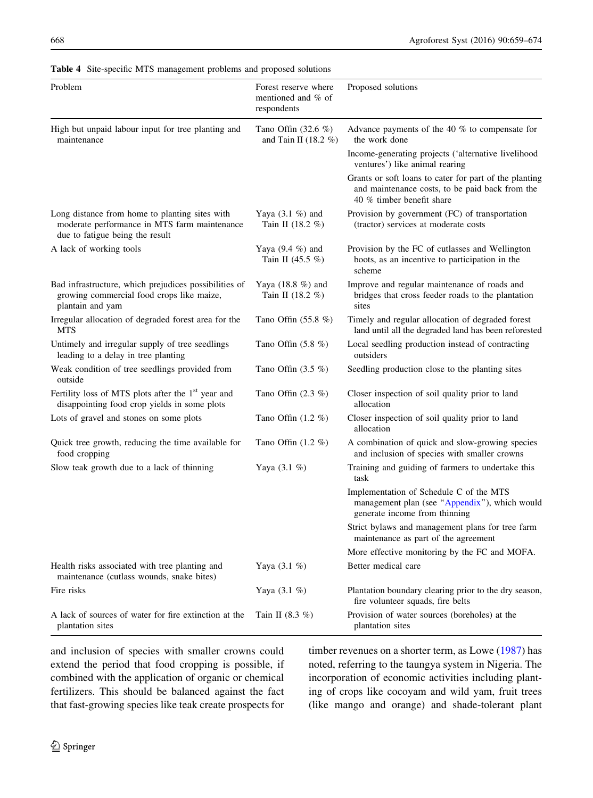| Problem                                                                                                                           | Forest reserve where<br>mentioned and % of<br>respondents | Proposed solutions                                                                                                                     |  |  |  |
|-----------------------------------------------------------------------------------------------------------------------------------|-----------------------------------------------------------|----------------------------------------------------------------------------------------------------------------------------------------|--|--|--|
| High but unpaid labour input for tree planting and<br>maintenance                                                                 | Tano Offin $(32.6\% )$<br>and Tain II (18.2 $%$ )         | Advance payments of the 40 % to compensate for<br>the work done                                                                        |  |  |  |
|                                                                                                                                   |                                                           | Income-generating projects ('alternative livelihood<br>ventures') like animal rearing                                                  |  |  |  |
|                                                                                                                                   |                                                           | Grants or soft loans to cater for part of the planting<br>and maintenance costs, to be paid back from the<br>40 % timber benefit share |  |  |  |
| Long distance from home to planting sites with<br>moderate performance in MTS farm maintenance<br>due to fatigue being the result | Yaya $(3.1\%)$ and<br>Tain II (18.2 %)                    | Provision by government (FC) of transportation<br>(tractor) services at moderate costs                                                 |  |  |  |
| A lack of working tools                                                                                                           | Yaya $(9.4\%)$ and<br>Tain II (45.5 %)                    | Provision by the FC of cutlasses and Wellington<br>boots, as an incentive to participation in the<br>scheme                            |  |  |  |
| Bad infrastructure, which prejudices possibilities of<br>growing commercial food crops like maize,<br>plantain and yam            | Yaya $(18.8\%)$ and<br>Tain II (18.2 %)                   | Improve and regular maintenance of roads and<br>bridges that cross feeder roads to the plantation<br>sites                             |  |  |  |
| Irregular allocation of degraded forest area for the<br><b>MTS</b>                                                                | Tano Offin $(55.8\%)$                                     | Timely and regular allocation of degraded forest<br>land until all the degraded land has been reforested                               |  |  |  |
| Untimely and irregular supply of tree seedlings<br>leading to a delay in tree planting                                            | Tano Offin $(5.8\%)$                                      | Local seedling production instead of contracting<br>outsiders                                                                          |  |  |  |
| Weak condition of tree seedlings provided from<br>outside                                                                         | Tano Offin $(3.5\%)$                                      | Seedling production close to the planting sites                                                                                        |  |  |  |
| Fertility loss of MTS plots after the 1 <sup>st</sup> year and<br>disappointing food crop yields in some plots                    | Tano Offin $(2.3\%)$                                      | Closer inspection of soil quality prior to land<br>allocation                                                                          |  |  |  |
| Lots of gravel and stones on some plots                                                                                           | Tano Offin $(1.2 \%)$                                     | Closer inspection of soil quality prior to land<br>allocation                                                                          |  |  |  |
| Quick tree growth, reducing the time available for<br>food cropping                                                               | Tano Offin $(1.2 \%)$                                     | A combination of quick and slow-growing species<br>and inclusion of species with smaller crowns                                        |  |  |  |
| Slow teak growth due to a lack of thinning                                                                                        | Yaya (3.1 %)                                              | Training and guiding of farmers to undertake this<br>task                                                                              |  |  |  |
|                                                                                                                                   |                                                           | Implementation of Schedule C of the MTS<br>management plan (see "Appendix"), which would<br>generate income from thinning              |  |  |  |
|                                                                                                                                   |                                                           | Strict bylaws and management plans for tree farm<br>maintenance as part of the agreement                                               |  |  |  |
|                                                                                                                                   |                                                           | More effective monitoring by the FC and MOFA.                                                                                          |  |  |  |
| Health risks associated with tree planting and<br>maintenance (cutlass wounds, snake bites)                                       | Yaya (3.1 %)                                              | Better medical care                                                                                                                    |  |  |  |
| Fire risks                                                                                                                        | Yaya (3.1 %)                                              | Plantation boundary clearing prior to the dry season,<br>fire volunteer squads, fire belts                                             |  |  |  |
| A lack of sources of water for fire extinction at the<br>plantation sites                                                         | Tain II $(8.3\%)$                                         | Provision of water sources (boreholes) at the<br>plantation sites                                                                      |  |  |  |

<span id="page-10-0"></span>Table 4 Site-specific MTS management problems and proposed solutions

and inclusion of species with smaller crowns could extend the period that food cropping is possible, if combined with the application of organic or chemical fertilizers. This should be balanced against the fact that fast-growing species like teak create prospects for timber revenues on a shorter term, as Lowe ([1987](#page-15-0)) has noted, referring to the taungya system in Nigeria. The incorporation of economic activities including planting of crops like cocoyam and wild yam, fruit trees (like mango and orange) and shade-tolerant plant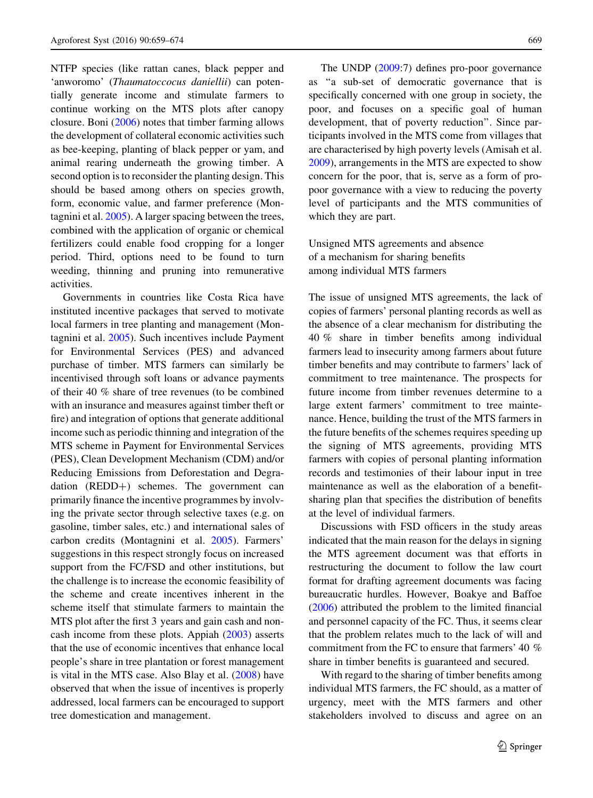NTFP species (like rattan canes, black pepper and 'anworomo' (Thaumatoccocus daniellii) can potentially generate income and stimulate farmers to continue working on the MTS plots after canopy closure. Boni ([2006\)](#page-15-0) notes that timber farming allows the development of collateral economic activities such as bee-keeping, planting of black pepper or yam, and animal rearing underneath the growing timber. A second option is to reconsider the planting design. This should be based among others on species growth, form, economic value, and farmer preference (Montagnini et al. [2005](#page-15-0)). A larger spacing between the trees, combined with the application of organic or chemical fertilizers could enable food cropping for a longer period. Third, options need to be found to turn weeding, thinning and pruning into remunerative activities.

Governments in countries like Costa Rica have instituted incentive packages that served to motivate local farmers in tree planting and management (Montagnini et al. [2005](#page-15-0)). Such incentives include Payment for Environmental Services (PES) and advanced purchase of timber. MTS farmers can similarly be incentivised through soft loans or advance payments of their 40 % share of tree revenues (to be combined with an insurance and measures against timber theft or fire) and integration of options that generate additional income such as periodic thinning and integration of the MTS scheme in Payment for Environmental Services (PES), Clean Development Mechanism (CDM) and/or Reducing Emissions from Deforestation and Degradation  $(REDD+)$  schemes. The government can primarily finance the incentive programmes by involving the private sector through selective taxes (e.g. on gasoline, timber sales, etc.) and international sales of carbon credits (Montagnini et al. [2005\)](#page-15-0). Farmers' suggestions in this respect strongly focus on increased support from the FC/FSD and other institutions, but the challenge is to increase the economic feasibility of the scheme and create incentives inherent in the scheme itself that stimulate farmers to maintain the MTS plot after the first 3 years and gain cash and noncash income from these plots. Appiah ([2003\)](#page-15-0) asserts that the use of economic incentives that enhance local people's share in tree plantation or forest management is vital in the MTS case. Also Blay et al. [\(2008](#page-15-0)) have observed that when the issue of incentives is properly addressed, local farmers can be encouraged to support tree domestication and management.

The UNDP [\(2009](#page-16-0):7) defines pro-poor governance as ''a sub-set of democratic governance that is specifically concerned with one group in society, the poor, and focuses on a specific goal of human development, that of poverty reduction''. Since participants involved in the MTS come from villages that are characterised by high poverty levels (Amisah et al. [2009\)](#page-15-0), arrangements in the MTS are expected to show concern for the poor, that is, serve as a form of propoor governance with a view to reducing the poverty level of participants and the MTS communities of which they are part.

Unsigned MTS agreements and absence of a mechanism for sharing benefits among individual MTS farmers

The issue of unsigned MTS agreements, the lack of copies of farmers' personal planting records as well as the absence of a clear mechanism for distributing the 40 % share in timber benefits among individual farmers lead to insecurity among farmers about future timber benefits and may contribute to farmers' lack of commitment to tree maintenance. The prospects for future income from timber revenues determine to a large extent farmers' commitment to tree maintenance. Hence, building the trust of the MTS farmers in the future benefits of the schemes requires speeding up the signing of MTS agreements, providing MTS farmers with copies of personal planting information records and testimonies of their labour input in tree maintenance as well as the elaboration of a benefitsharing plan that specifies the distribution of benefits at the level of individual farmers.

Discussions with FSD officers in the study areas indicated that the main reason for the delays in signing the MTS agreement document was that efforts in restructuring the document to follow the law court format for drafting agreement documents was facing bureaucratic hurdles. However, Boakye and Baffoe [\(2006](#page-15-0)) attributed the problem to the limited financial and personnel capacity of the FC. Thus, it seems clear that the problem relates much to the lack of will and commitment from the FC to ensure that farmers' 40 % share in timber benefits is guaranteed and secured.

With regard to the sharing of timber benefits among individual MTS farmers, the FC should, as a matter of urgency, meet with the MTS farmers and other stakeholders involved to discuss and agree on an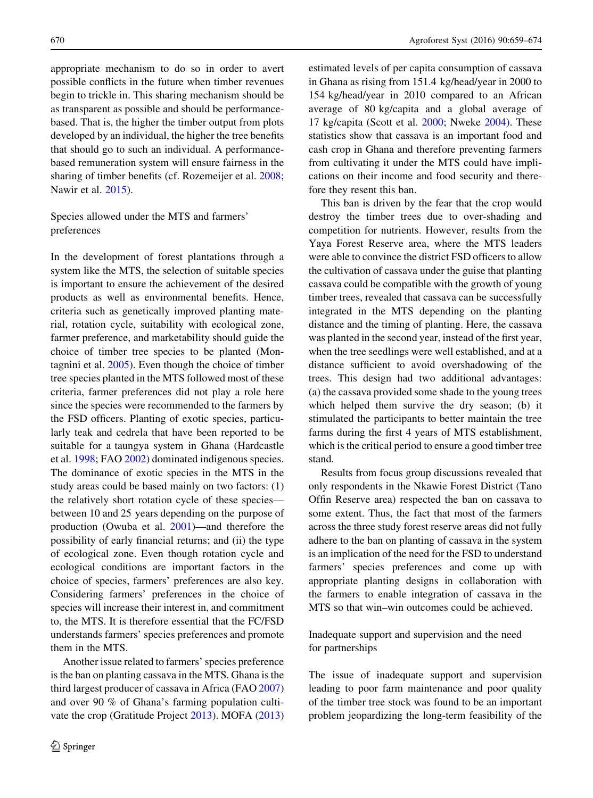appropriate mechanism to do so in order to avert possible conflicts in the future when timber revenues begin to trickle in. This sharing mechanism should be as transparent as possible and should be performancebased. That is, the higher the timber output from plots developed by an individual, the higher the tree benefits that should go to such an individual. A performancebased remuneration system will ensure fairness in the sharing of timber benefits (cf. Rozemeijer et al. [2008](#page-16-0); Nawir et al. [2015](#page-15-0)).

Species allowed under the MTS and farmers' preferences

In the development of forest plantations through a system like the MTS, the selection of suitable species is important to ensure the achievement of the desired products as well as environmental benefits. Hence, criteria such as genetically improved planting material, rotation cycle, suitability with ecological zone, farmer preference, and marketability should guide the choice of timber tree species to be planted (Montagnini et al. [2005](#page-15-0)). Even though the choice of timber tree species planted in the MTS followed most of these criteria, farmer preferences did not play a role here since the species were recommended to the farmers by the FSD officers. Planting of exotic species, particularly teak and cedrela that have been reported to be suitable for a taungya system in Ghana (Hardcastle et al. [1998](#page-15-0); FAO [2002\)](#page-15-0) dominated indigenous species. The dominance of exotic species in the MTS in the study areas could be based mainly on two factors: (1) the relatively short rotation cycle of these species between 10 and 25 years depending on the purpose of production (Owuba et al. [2001](#page-16-0))—and therefore the possibility of early financial returns; and (ii) the type of ecological zone. Even though rotation cycle and ecological conditions are important factors in the choice of species, farmers' preferences are also key. Considering farmers' preferences in the choice of species will increase their interest in, and commitment to, the MTS. It is therefore essential that the FC/FSD understands farmers' species preferences and promote them in the MTS.

Another issue related to farmers' species preference is the ban on planting cassava in the MTS. Ghana is the third largest producer of cassava in Africa (FAO [2007\)](#page-15-0) and over 90 % of Ghana's farming population cultivate the crop (Gratitude Project [2013\)](#page-15-0). MOFA ([2013\)](#page-15-0) estimated levels of per capita consumption of cassava in Ghana as rising from 151.4 kg/head/year in 2000 to 154 kg/head/year in 2010 compared to an African average of 80 kg/capita and a global average of 17 kg/capita (Scott et al. [2000](#page-16-0); Nweke [2004](#page-15-0)). These statistics show that cassava is an important food and cash crop in Ghana and therefore preventing farmers from cultivating it under the MTS could have implications on their income and food security and therefore they resent this ban.

This ban is driven by the fear that the crop would destroy the timber trees due to over-shading and competition for nutrients. However, results from the Yaya Forest Reserve area, where the MTS leaders were able to convince the district FSD officers to allow the cultivation of cassava under the guise that planting cassava could be compatible with the growth of young timber trees, revealed that cassava can be successfully integrated in the MTS depending on the planting distance and the timing of planting. Here, the cassava was planted in the second year, instead of the first year, when the tree seedlings were well established, and at a distance sufficient to avoid overshadowing of the trees. This design had two additional advantages: (a) the cassava provided some shade to the young trees which helped them survive the dry season; (b) it stimulated the participants to better maintain the tree farms during the first 4 years of MTS establishment, which is the critical period to ensure a good timber tree stand.

Results from focus group discussions revealed that only respondents in the Nkawie Forest District (Tano Offin Reserve area) respected the ban on cassava to some extent. Thus, the fact that most of the farmers across the three study forest reserve areas did not fully adhere to the ban on planting of cassava in the system is an implication of the need for the FSD to understand farmers' species preferences and come up with appropriate planting designs in collaboration with the farmers to enable integration of cassava in the MTS so that win–win outcomes could be achieved.

Inadequate support and supervision and the need for partnerships

The issue of inadequate support and supervision leading to poor farm maintenance and poor quality of the timber tree stock was found to be an important problem jeopardizing the long-term feasibility of the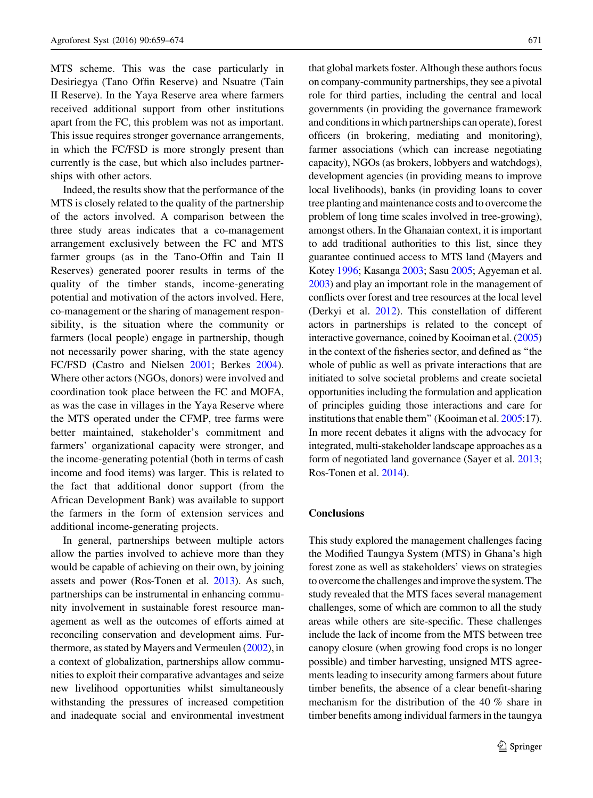MTS scheme. This was the case particularly in Desiriegya (Tano Offin Reserve) and Nsuatre (Tain II Reserve). In the Yaya Reserve area where farmers received additional support from other institutions apart from the FC, this problem was not as important. This issue requires stronger governance arrangements, in which the FC/FSD is more strongly present than currently is the case, but which also includes partnerships with other actors.

Indeed, the results show that the performance of the MTS is closely related to the quality of the partnership of the actors involved. A comparison between the three study areas indicates that a co-management arrangement exclusively between the FC and MTS farmer groups (as in the Tano-Offin and Tain II Reserves) generated poorer results in terms of the quality of the timber stands, income-generating potential and motivation of the actors involved. Here, co-management or the sharing of management responsibility, is the situation where the community or farmers (local people) engage in partnership, though not necessarily power sharing, with the state agency FC/FSD (Castro and Nielsen [2001](#page-15-0); Berkes [2004](#page-15-0)). Where other actors (NGOs, donors) were involved and coordination took place between the FC and MOFA, as was the case in villages in the Yaya Reserve where the MTS operated under the CFMP, tree farms were better maintained, stakeholder's commitment and farmers' organizational capacity were stronger, and the income-generating potential (both in terms of cash income and food items) was larger. This is related to the fact that additional donor support (from the African Development Bank) was available to support the farmers in the form of extension services and additional income-generating projects.

In general, partnerships between multiple actors allow the parties involved to achieve more than they would be capable of achieving on their own, by joining assets and power (Ros-Tonen et al. [2013\)](#page-16-0). As such, partnerships can be instrumental in enhancing community involvement in sustainable forest resource management as well as the outcomes of efforts aimed at reconciling conservation and development aims. Furthermore, as stated by Mayers and Vermeulen ([2002](#page-15-0)), in a context of globalization, partnerships allow communities to exploit their comparative advantages and seize new livelihood opportunities whilst simultaneously withstanding the pressures of increased competition and inadequate social and environmental investment that global markets foster. Although these authors focus on company-community partnerships, they see a pivotal role for third parties, including the central and local governments (in providing the governance framework and conditions in which partnerships can operate), forest officers (in brokering, mediating and monitoring), farmer associations (which can increase negotiating capacity), NGOs (as brokers, lobbyers and watchdogs), development agencies (in providing means to improve local livelihoods), banks (in providing loans to cover tree planting and maintenance costs and to overcome the problem of long time scales involved in tree-growing), amongst others. In the Ghanaian context, it is important to add traditional authorities to this list, since they guarantee continued access to MTS land (Mayers and Kotey [1996;](#page-15-0) Kasanga [2003](#page-15-0); Sasu [2005](#page-16-0); Agyeman et al. [2003](#page-15-0)) and play an important role in the management of conflicts over forest and tree resources at the local level (Derkyi et al. [2012](#page-15-0)). This constellation of different actors in partnerships is related to the concept of interactive governance, coined by Kooiman et al. [\(2005\)](#page-15-0) in the context of the fisheries sector, and defined as ''the whole of public as well as private interactions that are initiated to solve societal problems and create societal opportunities including the formulation and application of principles guiding those interactions and care for institutions that enable them'' (Kooiman et al. [2005](#page-15-0):17). In more recent debates it aligns with the advocacy for integrated, multi-stakeholder landscape approaches as a form of negotiated land governance (Sayer et al. [2013](#page-16-0); Ros-Tonen et al. [2014\)](#page-16-0).

#### **Conclusions**

This study explored the management challenges facing the Modified Taungya System (MTS) in Ghana's high forest zone as well as stakeholders' views on strategies to overcome the challenges and improve the system. The study revealed that the MTS faces several management challenges, some of which are common to all the study areas while others are site-specific. These challenges include the lack of income from the MTS between tree canopy closure (when growing food crops is no longer possible) and timber harvesting, unsigned MTS agreements leading to insecurity among farmers about future timber benefits, the absence of a clear benefit-sharing mechanism for the distribution of the 40 % share in timber benefits among individual farmers in the taungya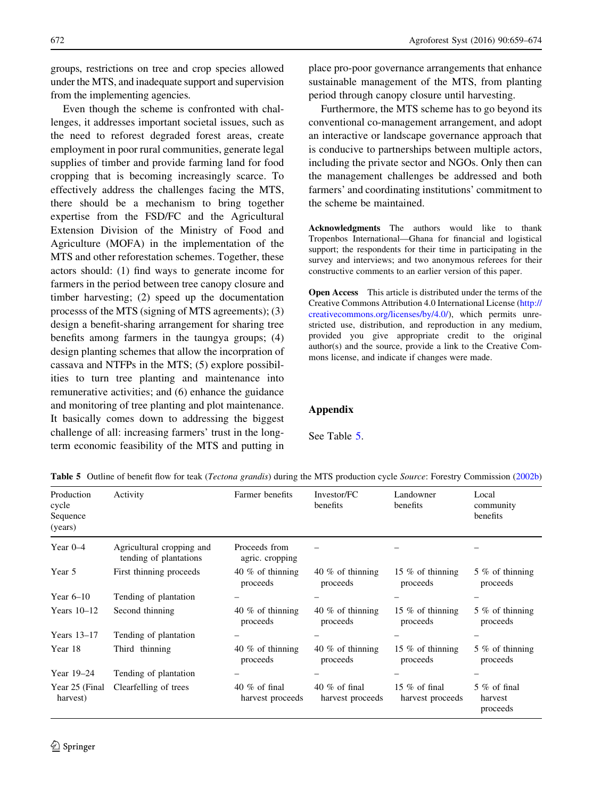groups, restrictions on tree and crop species allowed under the MTS, and inadequate support and supervision from the implementing agencies.

Even though the scheme is confronted with challenges, it addresses important societal issues, such as the need to reforest degraded forest areas, create employment in poor rural communities, generate legal supplies of timber and provide farming land for food cropping that is becoming increasingly scarce. To effectively address the challenges facing the MTS, there should be a mechanism to bring together expertise from the FSD/FC and the Agricultural Extension Division of the Ministry of Food and Agriculture (MOFA) in the implementation of the MTS and other reforestation schemes. Together, these actors should: (1) find ways to generate income for farmers in the period between tree canopy closure and timber harvesting; (2) speed up the documentation processs of the MTS (signing of MTS agreements); (3) design a benefit-sharing arrangement for sharing tree benefits among farmers in the taungya groups; (4) design planting schemes that allow the incorpration of cassava and NTFPs in the MTS; (5) explore possibilities to turn tree planting and maintenance into remunerative activities; and (6) enhance the guidance and monitoring of tree planting and plot maintenance. It basically comes down to addressing the biggest challenge of all: increasing farmers' trust in the longterm economic feasibility of the MTS and putting in

<span id="page-14-0"></span>672 Agroforest Syst (2016) 90:659–674

place pro-poor governance arrangements that enhance sustainable management of the MTS, from planting period through canopy closure until harvesting.

Furthermore, the MTS scheme has to go beyond its conventional co-management arrangement, and adopt an interactive or landscape governance approach that is conducive to partnerships between multiple actors, including the private sector and NGOs. Only then can the management challenges be addressed and both farmers' and coordinating institutions' commitment to the scheme be maintained.

Acknowledgments The authors would like to thank Tropenbos International—Ghana for financial and logistical support; the respondents for their time in participating in the survey and interviews; and two anonymous referees for their constructive comments to an earlier version of this paper.

Open Access This article is distributed under the terms of the Creative Commons Attribution 4.0 International License ([http://](http://creativecommons.org/licenses/by/4.0/) [creativecommons.org/licenses/by/4.0/\)](http://creativecommons.org/licenses/by/4.0/), which permits unrestricted use, distribution, and reproduction in any medium, provided you give appropriate credit to the original author(s) and the source, provide a link to the Creative Commons license, and indicate if changes were made.

#### Appendix

See Table 5.

|  |  |  |  |  |  | Table 5 Outline of benefit flow for teak (Tectona grandis) during the MTS production cycle Source: Forestry Commission (2002b) |  |
|--|--|--|--|--|--|--------------------------------------------------------------------------------------------------------------------------------|--|
|--|--|--|--|--|--|--------------------------------------------------------------------------------------------------------------------------------|--|

| Production<br>cycle<br>Sequence<br>(years) | Activity                                            | Farmer benefits                     | Investor/FC<br>benefits             | Landowner<br>benefits               | Local<br>community<br>benefits        |
|--------------------------------------------|-----------------------------------------------------|-------------------------------------|-------------------------------------|-------------------------------------|---------------------------------------|
| Year $0-4$                                 | Agricultural cropping and<br>tending of plantations | Proceeds from<br>agric. cropping    |                                     |                                     |                                       |
| Year 5                                     | First thinning proceeds                             | 40 $%$ of thinning<br>proceeds      | 40 $\%$ of thinning<br>proceeds     | 15 % of thinning<br>proceeds        | 5 % of thinning<br>proceeds           |
| Year $6-10$                                | Tending of plantation                               |                                     |                                     |                                     |                                       |
| Years $10-12$                              | Second thinning                                     | 40 $%$ of thinning<br>proceeds      | 40 $\%$ of thinning<br>proceeds     | 15 $%$ of thinning<br>proceeds      | 5 % of thinning<br>proceeds           |
| Years $13-17$                              | Tending of plantation                               |                                     |                                     |                                     |                                       |
| Year 18                                    | Third thinning                                      | 40 $%$ of thinning<br>proceeds      | 40 $\%$ of thinning<br>proceeds     | 15 $%$ of thinning<br>proceeds      | 5 % of thinning<br>proceeds           |
| Year 19–24                                 | Tending of plantation                               |                                     |                                     |                                     |                                       |
| Year 25 (Final<br>harvest)                 | Clearfelling of trees                               | 40 $%$ of final<br>harvest proceeds | 40 $%$ of final<br>harvest proceeds | 15 $%$ of final<br>harvest proceeds | $5\%$ of final<br>harvest<br>proceeds |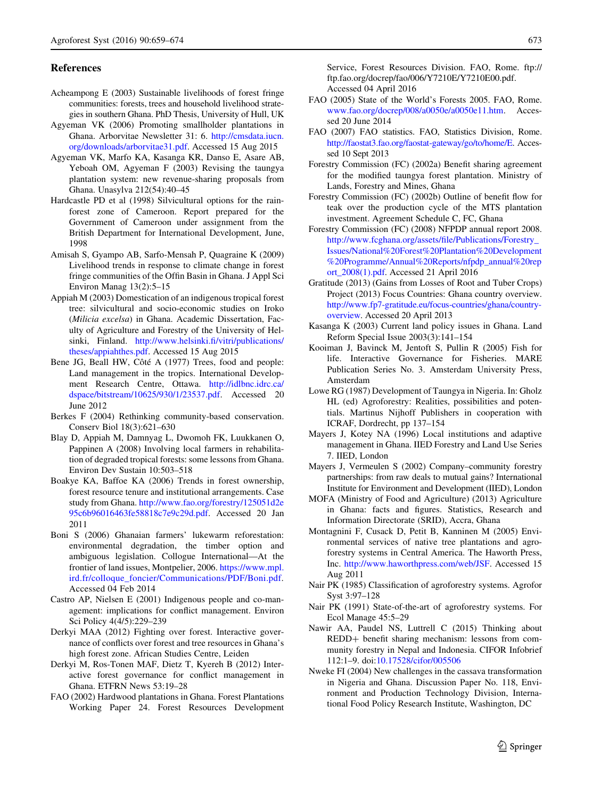#### <span id="page-15-0"></span>References

- Acheampong E (2003) Sustainable livelihoods of forest fringe communities: forests, trees and household livelihood strategies in southern Ghana. PhD Thesis, University of Hull, UK
- Agyeman VK (2006) Promoting smallholder plantations in Ghana. Arborvitae Newsletter 31: 6. [http://cmsdata.iucn.](http://cmsdata.iucn.org/downloads/arborvitae31.pdf) [org/downloads/arborvitae31.pdf.](http://cmsdata.iucn.org/downloads/arborvitae31.pdf) Accessed 15 Aug 2015
- Agyeman VK, Marfo KA, Kasanga KR, Danso E, Asare AB, Yeboah OM, Agyeman F (2003) Revising the taungya plantation system: new revenue-sharing proposals from Ghana. Unasylva 212(54):40–45
- Hardcastle PD et al (1998) Silvicultural options for the rainforest zone of Cameroon. Report prepared for the Government of Cameroon under assignment from the British Department for International Development, June, 1998
- Amisah S, Gyampo AB, Sarfo-Mensah P, Quagraine K (2009) Livelihood trends in response to climate change in forest fringe communities of the Offin Basin in Ghana. J Appl Sci Environ Manag 13(2):5–15
- Appiah M (2003) Domestication of an indigenous tropical forest tree: silvicultural and socio-economic studies on Iroko (Milicia excelsa) in Ghana. Academic Dissertation, Faculty of Agriculture and Forestry of the University of Helsinki, Finland. [http://www.helsinki.fi/vitri/publications/](http://www.helsinki.fi/vitri/publications/theses/appiahthes.pdf) [theses/appiahthes.pdf.](http://www.helsinki.fi/vitri/publications/theses/appiahthes.pdf) Accessed 15 Aug 2015
- Bene JG, Beall HW, Côté A (1977) Trees, food and people: Land management in the tropics. International Development Research Centre, Ottawa. [http://idlbnc.idrc.ca/](http://idlbnc.idrc.ca/dspace/bitstream/10625/930/1/23537.pdf) [dspace/bitstream/10625/930/1/23537.pdf](http://idlbnc.idrc.ca/dspace/bitstream/10625/930/1/23537.pdf). Accessed 20 June 2012
- Berkes F (2004) Rethinking community-based conservation. Conserv Biol 18(3):621–630
- Blay D, Appiah M, Damnyag L, Dwomoh FK, Luukkanen O, Pappinen A (2008) Involving local farmers in rehabilitation of degraded tropical forests: some lessons from Ghana. Environ Dev Sustain 10:503–518
- Boakye KA, Baffoe KA (2006) Trends in forest ownership, forest resource tenure and institutional arrangements. Case study from Ghana. [http://www.fao.org/forestry/125051d2e](http://www.fao.org/forestry/125051d2e95c6b96016463fe58818c7e9c29d.pdf) [95c6b96016463fe58818c7e9c29d.pdf](http://www.fao.org/forestry/125051d2e95c6b96016463fe58818c7e9c29d.pdf). Accessed 20 Jan 2011
- Boni S (2006) Ghanaian farmers' lukewarm reforestation: environmental degradation, the timber option and ambiguous legislation. Collogue International—At the frontier of land issues, Montpelier, 2006. [https://www.mpl.](https://www.mpl.ird.fr/colloque_foncier/Communications/PDF/Boni.pdf) [ird.fr/colloque\\_foncier/Communications/PDF/Boni.pdf.](https://www.mpl.ird.fr/colloque_foncier/Communications/PDF/Boni.pdf) Accessed 04 Feb 2014
- Castro AP, Nielsen E (2001) Indigenous people and co-management: implications for conflict management. Environ Sci Policy 4(4/5):229–239
- Derkyi MAA (2012) Fighting over forest. Interactive governance of conflicts over forest and tree resources in Ghana's high forest zone. African Studies Centre, Leiden
- Derkyi M, Ros-Tonen MAF, Dietz T, Kyereh B (2012) Interactive forest governance for conflict management in Ghana. ETFRN News 53:19–28
- FAO (2002) Hardwood plantations in Ghana. Forest Plantations Working Paper 24. Forest Resources Development

Service, Forest Resources Division. FAO, Rome. ftp:// ftp.fao.org/docrep/fao/006/Y7210E/Y7210E00.pdf. Accessed 04 April 2016

- FAO (2005) State of the World's Forests 2005. FAO, Rome. [www.fao.org/docrep/008/a0050e/a0050e11.htm.](http://www.fao.org/docrep/008/a0050e/a0050e11.htm) Accessed 20 June 2014
- FAO (2007) FAO statistics. FAO, Statistics Division, Rome. [http://faostat3.fao.org/faostat-gateway/go/to/home/E.](http://faostat3.fao.org/faostat-gateway/go/to/home/E) Accessed 10 Sept 2013
- Forestry Commission (FC) (2002a) Benefit sharing agreement for the modified taungya forest plantation. Ministry of Lands, Forestry and Mines, Ghana
- Forestry Commission (FC) (2002b) Outline of benefit flow for teak over the production cycle of the MTS plantation investment. Agreement Schedule C, FC, Ghana
- Forestry Commission (FC) (2008) NFPDP annual report 2008. [http://www.fcghana.org/assets/file/Publications/Forestry\\_](http://www.fcghana.org/assets/file/Publications/Forestry_Issues/National%20Forest%20Plantation%20Development%20Programme/Annual%20Reports/nfpdp_annual%20report_2008(1).pdf) [Issues/National%20Forest%20Plantation%20Development](http://www.fcghana.org/assets/file/Publications/Forestry_Issues/National%20Forest%20Plantation%20Development%20Programme/Annual%20Reports/nfpdp_annual%20report_2008(1).pdf) [%20Programme/Annual%20Reports/nfpdp\\_annual%20rep](http://www.fcghana.org/assets/file/Publications/Forestry_Issues/National%20Forest%20Plantation%20Development%20Programme/Annual%20Reports/nfpdp_annual%20report_2008(1).pdf) [ort\\_2008\(1\).pdf](http://www.fcghana.org/assets/file/Publications/Forestry_Issues/National%20Forest%20Plantation%20Development%20Programme/Annual%20Reports/nfpdp_annual%20report_2008(1).pdf). Accessed 21 April 2016
- Gratitude (2013) (Gains from Losses of Root and Tuber Crops) Project (2013) Focus Countries: Ghana country overview. [http://www.fp7-gratitude.eu/focus-countries/ghana/country](http://www.fp7-gratitude.eu/focus-countries/ghana/country-overview)[overview.](http://www.fp7-gratitude.eu/focus-countries/ghana/country-overview) Accessed 20 April 2013
- Kasanga K (2003) Current land policy issues in Ghana. Land Reform Special Issue 2003(3):141–154
- Kooiman J, Bavinck M, Jentoft S, Pullin R (2005) Fish for life. Interactive Governance for Fisheries. MARE Publication Series No. 3. Amsterdam University Press, Amsterdam
- Lowe RG (1987) Development of Taungya in Nigeria. In: Gholz HL (ed) Agroforestry: Realities, possibilities and potentials. Martinus Nijhoff Publishers in cooperation with ICRAF, Dordrecht, pp 137–154
- Mayers J, Kotey NA (1996) Local institutions and adaptive management in Ghana. IIED Forestry and Land Use Series 7. IIED, London
- Mayers J, Vermeulen S (2002) Company–community forestry partnerships: from raw deals to mutual gains? International Institute for Environment and Development (IIED), London
- MOFA (Ministry of Food and Agriculture) (2013) Agriculture in Ghana: facts and figures. Statistics, Research and Information Directorate (SRID), Accra, Ghana
- Montagnini F, Cusack D, Petit B, Kanninen M (2005) Environmental services of native tree plantations and agroforestry systems in Central America. The Haworth Press, Inc. [http://www.haworthpress.com/web/JSF.](http://www.haworthpress.com/web/JSF) Accessed 15 Aug 2011
- Nair PK (1985) Classification of agroforestry systems. Agrofor Syst 3:97–128
- Nair PK (1991) State-of-the-art of agroforestry systems. For Ecol Manage 45:5–29
- Nawir AA, Paudel NS, Luttrell C (2015) Thinking about REDD+ benefit sharing mechanism: lessons from community forestry in Nepal and Indonesia. CIFOR Infobrief 112:1–9. doi[:10.17528/cifor/005506](http://dx.doi.org/10.17528/cifor/005506)
- Nweke FI (2004) New challenges in the cassava transformation in Nigeria and Ghana. Discussion Paper No. 118, Environment and Production Technology Division, International Food Policy Research Institute, Washington, DC